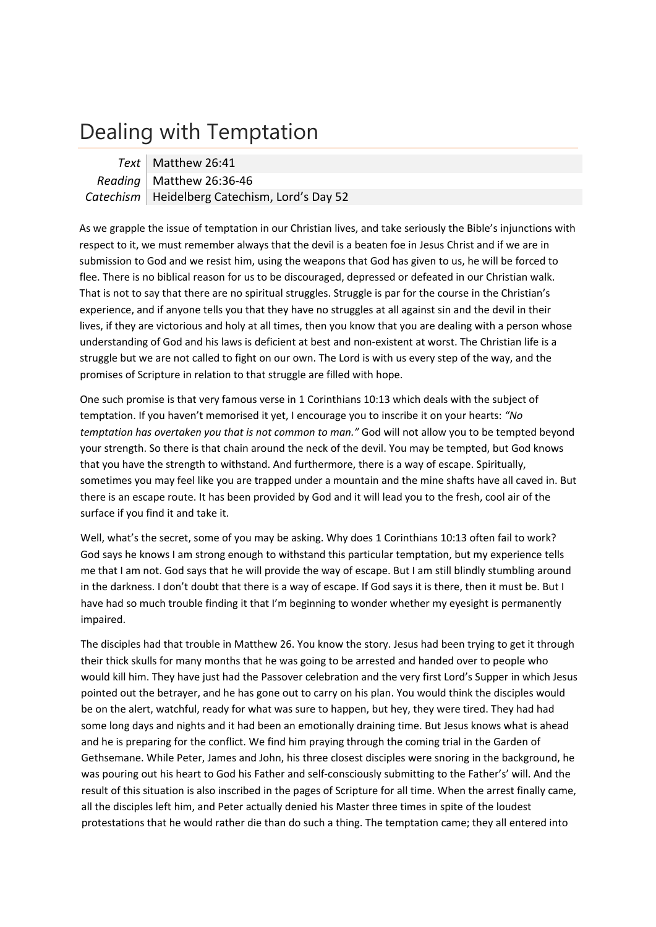## Dealing with Temptation

| Text   Matthew 26:41                            |
|-------------------------------------------------|
| Reading Matthew 26:36-46                        |
| Catechism   Heidelberg Catechism, Lord's Day 52 |

As we grapple the issue of temptation in our Christian lives, and take seriously the Bible's injunctions with respect to it, we must remember always that the devil is a beaten foe in Jesus Christ and if we are in submission to God and we resist him, using the weapons that God has given to us, he will be forced to flee. There is no biblical reason for us to be discouraged, depressed or defeated in our Christian walk. That is not to say that there are no spiritual struggles. Struggle is par for the course in the Christian's experience, and if anyone tells you that they have no struggles at all against sin and the devil in their lives, if they are victorious and holy at all times, then you know that you are dealing with a person whose understanding of God and his laws is deficient at best and non‐existent at worst. The Christian life is a struggle but we are not called to fight on our own. The Lord is with us every step of the way, and the promises of Scripture in relation to that struggle are filled with hope.

One such promise is that very famous verse in 1 Corinthians 10:13 which deals with the subject of temptation. If you haven't memorised it yet, I encourage you to inscribe it on your hearts: *"No temptation has overtaken you that is not common to man."* God will not allow you to be tempted beyond your strength. So there is that chain around the neck of the devil. You may be tempted, but God knows that you have the strength to withstand. And furthermore, there is a way of escape. Spiritually, sometimes you may feel like you are trapped under a mountain and the mine shafts have all caved in. But there is an escape route. It has been provided by God and it will lead you to the fresh, cool air of the surface if you find it and take it.

Well, what's the secret, some of you may be asking. Why does 1 Corinthians 10:13 often fail to work? God says he knows I am strong enough to withstand this particular temptation, but my experience tells me that I am not. God says that he will provide the way of escape. But I am still blindly stumbling around in the darkness. I don't doubt that there is a way of escape. If God says it is there, then it must be. But I have had so much trouble finding it that I'm beginning to wonder whether my eyesight is permanently impaired.

The disciples had that trouble in Matthew 26. You know the story. Jesus had been trying to get it through their thick skulls for many months that he was going to be arrested and handed over to people who would kill him. They have just had the Passover celebration and the very first Lord's Supper in which Jesus pointed out the betrayer, and he has gone out to carry on his plan. You would think the disciples would be on the alert, watchful, ready for what was sure to happen, but hey, they were tired. They had had some long days and nights and it had been an emotionally draining time. But Jesus knows what is ahead and he is preparing for the conflict. We find him praying through the coming trial in the Garden of Gethsemane. While Peter, James and John, his three closest disciples were snoring in the background, he was pouring out his heart to God his Father and self-consciously submitting to the Father's' will. And the result of this situation is also inscribed in the pages of Scripture for all time. When the arrest finally came, all the disciples left him, and Peter actually denied his Master three times in spite of the loudest protestations that he would rather die than do such a thing. The temptation came; they all entered into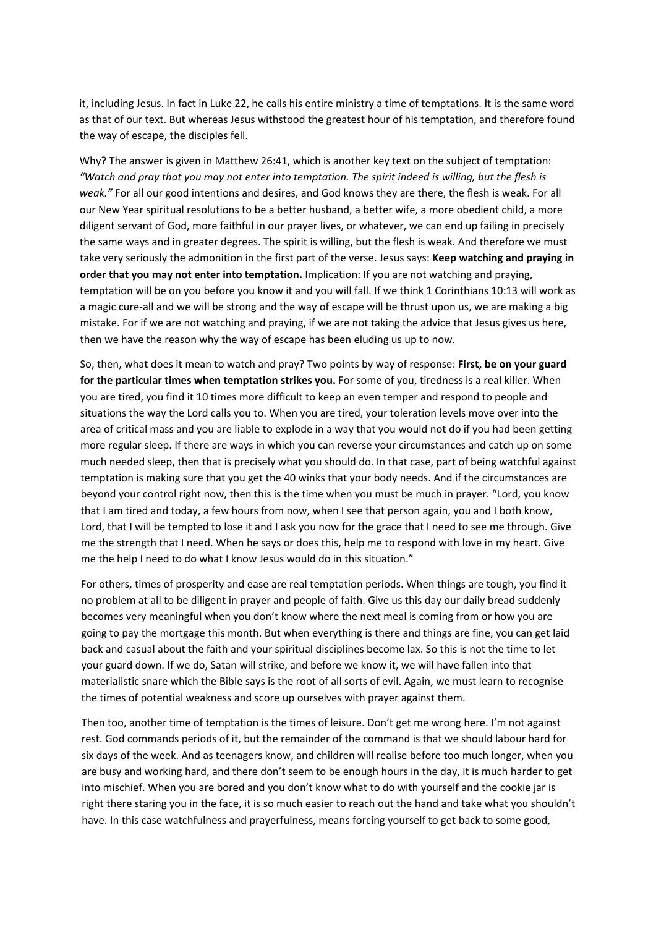it, including Jesus. In fact in Luke 22, he calls his entire ministry a time of temptations. It is the same word as that of our text. But whereas Jesus withstood the greatest hour of his temptation, and therefore found the way of escape, the disciples fell.

Why? The answer is given in Matthew 26:41, which is another key text on the subject of temptation: "Watch and pray that you may not enter into temptation. The spirit indeed is willing, but the flesh is *weak."* For all our good intentions and desires, and God knows they are there, the flesh is weak. For all our New Year spiritual resolutions to be a better husband, a better wife, a more obedient child, a more diligent servant of God, more faithful in our prayer lives, or whatever, we can end up failing in precisely the same ways and in greater degrees. The spirit is willing, but the flesh is weak. And therefore we must take very seriously the admonition in the first part of the verse. Jesus says: **Keep watching and praying in order that you may not enter into temptation.** Implication: If you are not watching and praying, temptation will be on you before you know it and you will fall. If we think 1 Corinthians 10:13 will work as a magic cure-all and we will be strong and the way of escape will be thrust upon us, we are making a big mistake. For if we are not watching and praying, if we are not taking the advice that Jesus gives us here, then we have the reason why the way of escape has been eluding us up to now.

So, then, what does it mean to watch and pray? Two points by way of response: **First, be on your guard for the particular times when temptation strikes you.** For some of you, tiredness is a real killer. When you are tired, you find it 10 times more difficult to keep an even temper and respond to people and situations the way the Lord calls you to. When you are tired, your toleration levels move over into the area of critical mass and you are liable to explode in a way that you would not do if you had been getting more regular sleep. If there are ways in which you can reverse your circumstances and catch up on some much needed sleep, then that is precisely what you should do. In that case, part of being watchful against temptation is making sure that you get the 40 winks that your body needs. And if the circumstances are beyond your control right now, then this is the time when you must be much in prayer. "Lord, you know that I am tired and today, a few hours from now, when I see that person again, you and I both know, Lord, that I will be tempted to lose it and I ask you now for the grace that I need to see me through. Give me the strength that I need. When he says or does this, help me to respond with love in my heart. Give me the help I need to do what I know Jesus would do in this situation."

For others, times of prosperity and ease are real temptation periods. When things are tough, you find it no problem at all to be diligent in prayer and people of faith. Give us this day our daily bread suddenly becomes very meaningful when you don't know where the next meal is coming from or how you are going to pay the mortgage this month. But when everything is there and things are fine, you can get laid back and casual about the faith and your spiritual disciplines become lax. So this is not the time to let your guard down. If we do, Satan will strike, and before we know it, we will have fallen into that materialistic snare which the Bible says is the root of all sorts of evil. Again, we must learn to recognise the times of potential weakness and score up ourselves with prayer against them.

Then too, another time of temptation is the times of leisure. Don't get me wrong here. I'm not against rest. God commands periods of it, but the remainder of the command is that we should labour hard for six days of the week. And as teenagers know, and children will realise before too much longer, when you are busy and working hard, and there don't seem to be enough hours in the day, it is much harder to get into mischief. When you are bored and you don't know what to do with yourself and the cookie jar is right there staring you in the face, it is so much easier to reach out the hand and take what you shouldn't have. In this case watchfulness and prayerfulness, means forcing yourself to get back to some good,